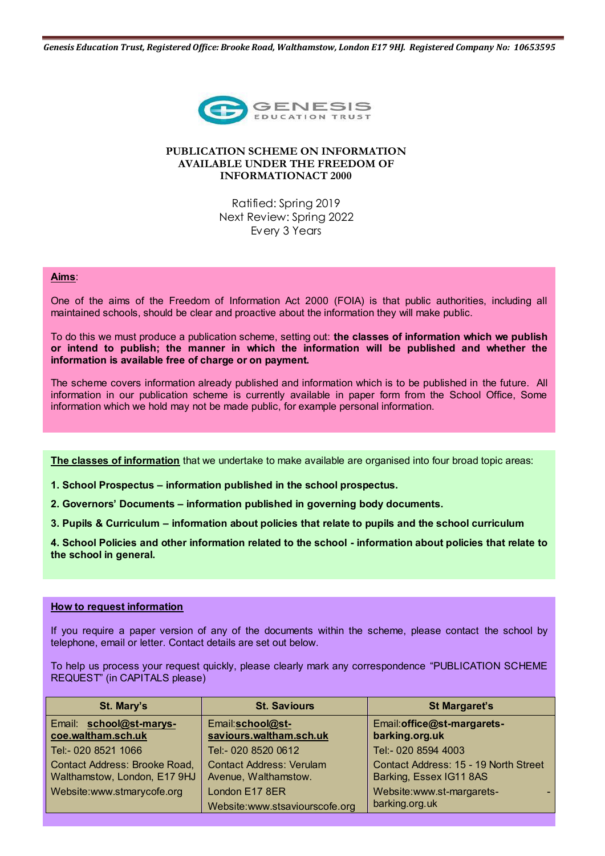*Genesis Education Trust, Registered Office: Brooke Road, Walthamstow, London E17 9HJ. Registered Company No: 10653595*



# **PUBLICATION SCHEME ON INFORMATION AVAILABLE UNDER THE FREEDOM OF INFORMATIONACT 2000**

Ratified: Spring 2019 Next Review: Spring 2022 Every 3 Years

### **Aims**:

One of the aims of the Freedom of Information Act 2000 (FOIA) is that public authorities, including all maintained schools, should be clear and proactive about the information they will make public.

To do this we must produce a publication scheme, setting out: **the classes of information which we publish or intend to publish; the manner in which the information will be published and whether the information is available free of charge or on payment.**

The scheme covers information already published and information which is to be published in the future. All information in our publication scheme is currently available in paper form from the School Office, Some information which we hold may not be made public, for example personal information.

**The classes of information** that we undertake to make available are organised into four broad topic areas:

**1. School Prospectus – information published in the school prospectus.** 

**2. Governors' Documents – information published in governing body documents.** 

**3. Pupils & Curriculum – information about policies that relate to pupils and the school curriculum** 

**4. School Policies and other information related to the school - information about policies that relate to the school in general.** 

# **How to request information**

If you require a paper version of any of the documents within the scheme, please contact the school by telephone, email or letter. Contact details are set out below.

To help us process your request quickly, please clearly mark any correspondence "PUBLICATION SCHEME REQUEST" (in CAPITALS please)

| St. Mary's                                                           | <b>St. Saviours</b>                                     | <b>St Margaret's</b>                                             |
|----------------------------------------------------------------------|---------------------------------------------------------|------------------------------------------------------------------|
| Email: school@st-marys-<br>coe.waltham.sch.uk                        | Email:school@st-<br>saviours.waltham.sch.uk             | Email: office@st-margarets-<br>barking.org.uk                    |
| Tel:- 020 8521 1066                                                  | Tel:- 020 8520 0612                                     | Tel:- 020 8594 4003                                              |
| <b>Contact Address: Brooke Road,</b><br>Walthamstow, London, E17 9HJ | <b>Contact Address: Verulam</b><br>Avenue, Walthamstow. | Contact Address: 15 - 19 North Street<br>Barking, Essex IG11 8AS |
| Website:www.stmarycofe.org                                           | London E17 8ER                                          | Website:www.st-margarets-                                        |
|                                                                      | Website:www.stsaviourscofe.org                          | barking.org.uk                                                   |